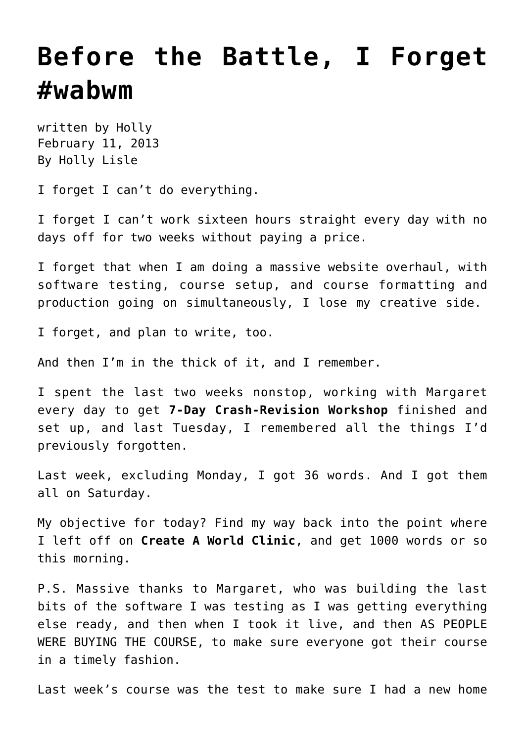## **[Before the Battle, I Forget](https://hollylisle.com/before-the-battle-i-forget-wabwm/) [#wabwm](https://hollylisle.com/before-the-battle-i-forget-wabwm/)**

written by Holly February 11, 2013 [By Holly Lisle](https://hollylisle.com)

I forget I can't do everything.

I forget I can't work sixteen hours straight every day with no days off for two weeks without paying a price.

I forget that when I am doing a massive website overhaul, with software testing, course setup, and course formatting and production going on simultaneously, I lose my creative side.

I forget, and plan to write, too.

And then I'm in the thick of it, and I remember.

I spent the last two weeks nonstop, working with Margaret every day to get **7-Day Crash-Revision Workshop** finished and set up, and last Tuesday, I remembered all the things I'd previously forgotten.

Last week, excluding Monday, I got 36 words. And I got them all on Saturday.

My objective for today? Find my way back into the point where I left off on **Create A World Clinic**, and get 1000 words or so this morning.

P.S. Massive thanks to Margaret, who was building the last bits of the software I was testing as I was getting everything else ready, and then when I took it live, and then AS PEOPLE WERE BUYING THE COURSE, to make sure everyone got their course in a timely fashion.

Last week's course was the test to make sure I had a new home